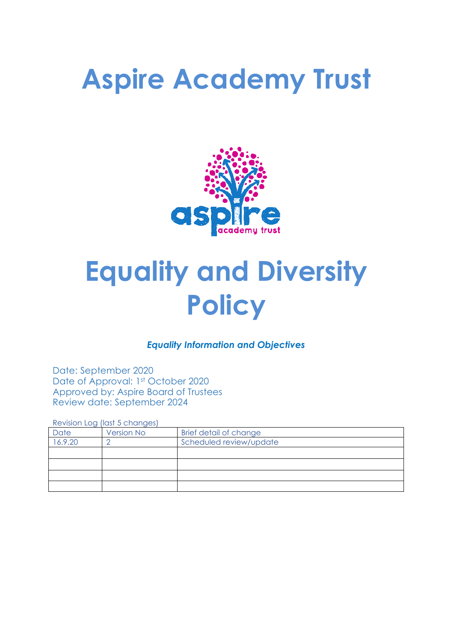# **Aspire Academy Trust**



# **Equality and Diversity Policy**

# *Equality Information and Objectives*

Date: September 2020 Date of Approval: 1st October 2020 Approved by: Aspire Board of Trustees Review date: September 2024

Revision Log (last 5 changes)

| Date    | <b>Version No</b> | Brief detail of change  |  |  |
|---------|-------------------|-------------------------|--|--|
| 16.9.20 |                   | Scheduled review/update |  |  |
|         |                   |                         |  |  |
|         |                   |                         |  |  |
|         |                   |                         |  |  |
|         |                   |                         |  |  |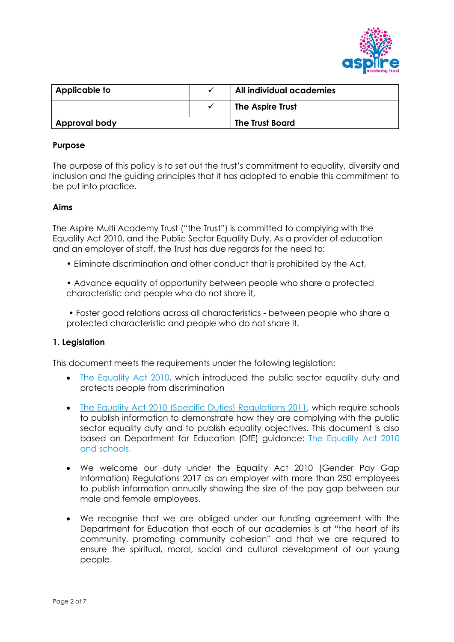

| Applicable to        |  | All individual academies |
|----------------------|--|--------------------------|
|                      |  | The Aspire Trust         |
| <b>Approval body</b> |  | <b>The Trust Board</b>   |

#### **Purpose**

The purpose of this policy is to set out the trust's commitment to equality, diversity and inclusion and the guiding principles that it has adopted to enable this commitment to be put into practice.

#### **Aims**

The Aspire Multi Academy Trust ("the Trust") is committed to complying with the Equality Act 2010, and the Public Sector Equality Duty. As a provider of education and an employer of staff, the Trust has due regards for the need to:

- Eliminate discrimination and other conduct that is prohibited by the Act,
- Advance equality of opportunity between people who share a protected characteristic and people who do not share it,

• Foster good relations across all characteristics - between people who share a protected characteristic and people who do not share it.

#### **1. Legislation**

This document meets the requirements under the following legislation:

- [The Equality Act 2010,](http://www.legislation.gov.uk/ukpga/2010/15/contents) which introduced the public sector equality duty and protects people from discrimination
- [The Equality Act 2010 \(Specific Duties\) Regulations 2011,](http://www.legislation.gov.uk/uksi/2011/2260/contents/made) which require schools to publish information to demonstrate how they are complying with the public sector equality duty and to publish equality objectives. This document is also based on Department for Education (DfE) guidance: [The Equality Act 2010](https://www.gov.uk/government/uploads/system/uploads/attachment_data/file/315587/Equality_Act_Advice_Final.pdf)  [and schools.](https://www.gov.uk/government/uploads/system/uploads/attachment_data/file/315587/Equality_Act_Advice_Final.pdf)
- We welcome our duty under the Equality Act 2010 (Gender Pay Gap Information) Regulations 2017 as an employer with more than 250 employees to publish information annually showing the size of the pay gap between our male and female employees.
- We recognise that we are obliged under our funding agreement with the Department for Education that each of our academies is at "the heart of its community, promoting community cohesion" and that we are required to ensure the spiritual, moral, social and cultural development of our young people.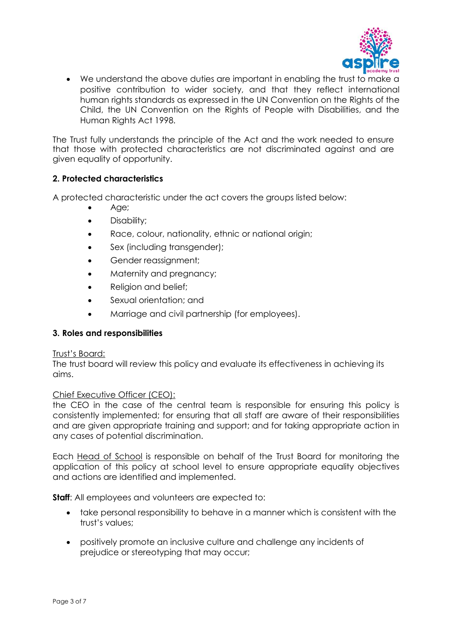

• We understand the above duties are important in enabling the trust to make a positive contribution to wider society, and that they reflect international human rights standards as expressed in the UN Convention on the Rights of the Child, the UN Convention on the Rights of People with Disabilities, and the Human Rights Act 1998.

The Trust fully understands the principle of the Act and the work needed to ensure that those with protected characteristics are not discriminated against and are given equality of opportunity.

## **2. Protected characteristics**

A protected characteristic under the act covers the groups listed below:

- Age;
- Disability;
- Race, colour, nationality, ethnic or national origin;
- Sex (including transgender);
- Gender reassignment;
- Maternity and pregnancy;
- Religion and belief;
- Sexual orientation; and
- Marriage and civil partnership (for employees).

## **3. Roles and responsibilities**

#### Trust's Board:

The trust board will review this policy and evaluate its effectiveness in achieving its aims.

## Chief Executive Officer (CEO):

the CEO in the case of the central team is responsible for ensuring this policy is consistently implemented; for ensuring that all staff are aware of their responsibilities and are given appropriate training and support; and for taking appropriate action in any cases of potential discrimination.

Each Head of School is responsible on behalf of the Trust Board for monitoring the application of this policy at school level to ensure appropriate equality objectives and actions are identified and implemented.

**Staff:** All employees and volunteers are expected to:

- take personal responsibility to behave in a manner which is consistent with the trust's values;
- positively promote an inclusive culture and challenge any incidents of prejudice or stereotyping that may occur;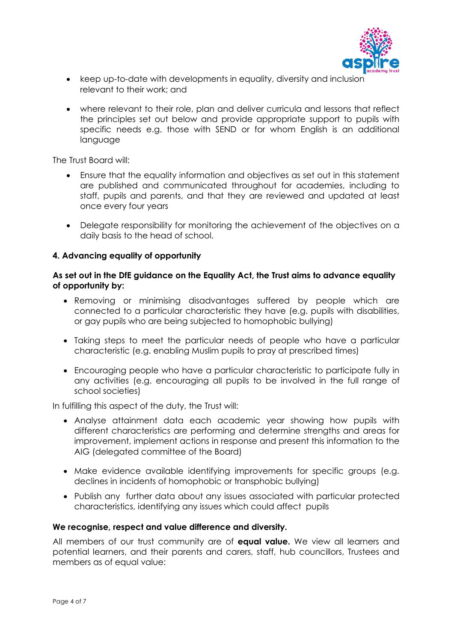

- keep up-to-date with developments in equality, diversity and inclusion relevant to their work; and
- where relevant to their role, plan and deliver curricula and lessons that reflect the principles set out below and provide appropriate support to pupils with specific needs e.g. those with SEND or for whom English is an additional language

The Trust Board will:

- Ensure that the equality information and objectives as set out in this statement are published and communicated throughout for academies, including to staff, pupils and parents, and that they are reviewed and updated at least once every four years
- Delegate responsibility for monitoring the achievement of the objectives on a daily basis to the head of school.

## **4. Advancing equality of opportunity**

## **As set out in the DfE guidance on the Equality Act, the Trust aims to advance equality of opportunity by:**

- Removing or minimising disadvantages suffered by people which are connected to a particular characteristic they have (e.g. pupils with disabilities, or gay pupils who are being subjected to homophobic bullying)
- Taking steps to meet the particular needs of people who have a particular characteristic (e.g. enabling Muslim pupils to pray at prescribed times)
- Encouraging people who have a particular characteristic to participate fully in any activities (e.g. encouraging all pupils to be involved in the full range of school societies)

In fulfilling this aspect of the duty, the Trust will:

- Analyse attainment data each academic year showing how pupils with different characteristics are performing and determine strengths and areas for improvement, implement actions in response and present this information to the AIG (delegated committee of the Board)
- Make evidence available identifying improvements for specific groups (e.g. declines in incidents of homophobic or transphobic bullying)
- Publish any further data about any issues associated with particular protected characteristics, identifying any issues which could affect pupils

#### **We recognise, respect and value difference and diversity.**

All members of our trust community are of **equal value.** We view all learners and potential learners, and their parents and carers, staff, hub councillors, Trustees and members as of equal value: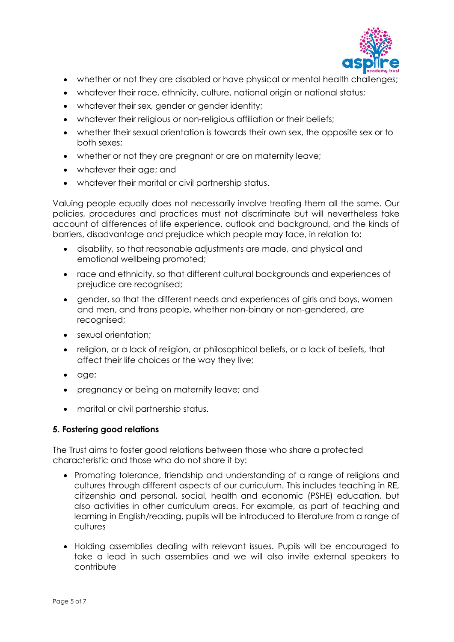

- whether or not they are disabled or have physical or mental health challenges;
- whatever their race, ethnicity, culture, national origin or national status;
- whatever their sex, gender or gender identity;
- whatever their religious or non-religious affiliation or their beliefs;
- whether their sexual orientation is towards their own sex, the opposite sex or to both sexes;
- whether or not they are pregnant or are on maternity leave;
- whatever their age; and
- whatever their marital or civil partnership status.

Valuing people equally does not necessarily involve treating them all the same. Our policies, procedures and practices must not discriminate but will nevertheless take account of differences of life experience, outlook and background, and the kinds of barriers, disadvantage and prejudice which people may face, in relation to:

- disability, so that reasonable adjustments are made, and physical and emotional wellbeing promoted;
- race and ethnicity, so that different cultural backgrounds and experiences of prejudice are recognised;
- gender, so that the different needs and experiences of girls and boys, women and men, and trans people, whether non-binary or non-gendered, are recognised;
- sexual orientation;
- religion, or a lack of religion, or philosophical beliefs, or a lack of beliefs, that affect their life choices or the way they live;
- age;
- pregnancy or being on maternity leave; and
- marital or civil partnership status.

## **5. Fostering good relations**

The Trust aims to foster good relations between those who share a protected characteristic and those who do not share it by:

- Promoting tolerance, friendship and understanding of a range of religions and cultures through different aspects of our curriculum. This includes teaching in RE, citizenship and personal, social, health and economic (PSHE) education, but also activities in other curriculum areas. For example, as part of teaching and learning in English/reading, pupils will be introduced to literature from a range of cultures
- Holding assemblies dealing with relevant issues. Pupils will be encouraged to take a lead in such assemblies and we will also invite external speakers to contribute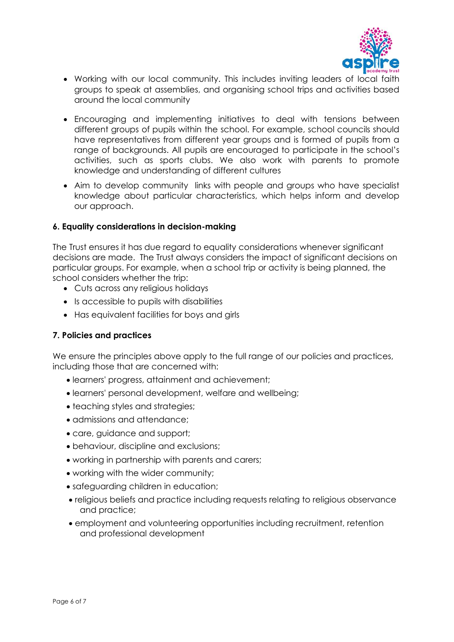

- Working with our local community. This includes inviting leaders of local faith groups to speak at assemblies, and organising school trips and activities based around the local community
- Encouraging and implementing initiatives to deal with tensions between different groups of pupils within the school. For example, school councils should have representatives from different year groups and is formed of pupils from a range of backgrounds. All pupils are encouraged to participate in the school's activities, such as sports clubs. We also work with parents to promote knowledge and understanding of different cultures
- Aim to develop community links with people and groups who have specialist knowledge about particular characteristics, which helps inform and develop our approach.

## **6. Equality considerations in decision-making**

The Trust ensures it has due regard to equality considerations whenever significant decisions are made. The Trust always considers the impact of significant decisions on particular groups. For example, when a school trip or activity is being planned, the school considers whether the trip:

- Cuts across any religious holidays
- Is accessible to pupils with disabilities
- Has equivalent facilities for boys and girls

## **7. Policies and practices**

We ensure the principles above apply to the full range of our policies and practices, including those that are concerned with:

- learners' progress, attainment and achievement;
- learners' personal development, welfare and wellbeing;
- teaching styles and strategies;
- admissions and attendance;
- care, guidance and support;
- behaviour, discipline and exclusions;
- working in partnership with parents and carers;
- working with the wider community;
- safeguarding children in education;
- religious beliefs and practice including requests relating to religious observance and practice;
- employment and volunteering opportunities including recruitment, retention and professional development